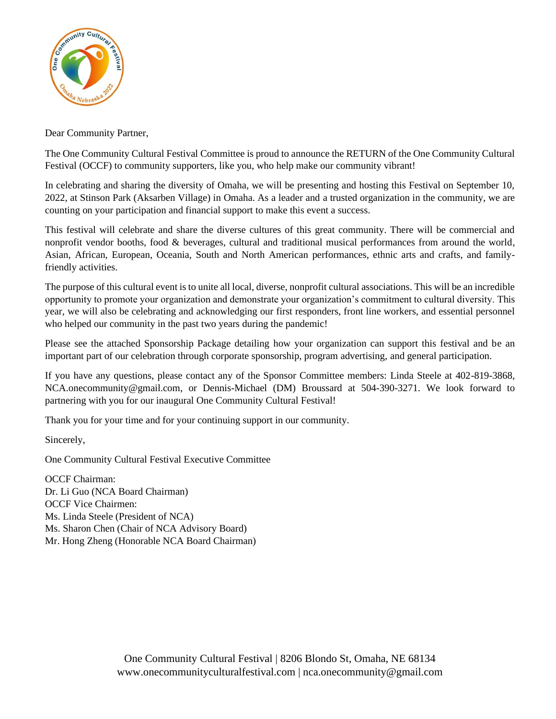

Dear Community Partner,

The One Community Cultural Festival Committee is proud to announce the RETURN of the One Community Cultural Festival (OCCF) to community supporters, like you, who help make our community vibrant!

In celebrating and sharing the diversity of Omaha, we will be presenting and hosting this Festival on September 10, 2022, at Stinson Park (Aksarben Village) in Omaha. As a leader and a trusted organization in the community, we are counting on your participation and financial support to make this event a success.

This festival will celebrate and share the diverse cultures of this great community. There will be commercial and nonprofit vendor booths, food & beverages, cultural and traditional musical performances from around the world, Asian, African, European, Oceania, South and North American performances, ethnic arts and crafts, and familyfriendly activities.

The purpose of this cultural event is to unite all local, diverse, nonprofit cultural associations. This will be an incredible opportunity to promote your organization and demonstrate your organization's commitment to cultural diversity. This year, we will also be celebrating and acknowledging our first responders, front line workers, and essential personnel who helped our community in the past two years during the pandemic!

Please see the attached Sponsorship Package detailing how your organization can support this festival and be an important part of our celebration through corporate sponsorship, program advertising, and general participation.

If you have any questions, please contact any of the Sponsor Committee members: Linda Steele at 402-819-3868, NCA.onecommunity@gmail.com, or Dennis-Michael (DM) Broussard at 504-390-3271. We look forward to partnering with you for our inaugural One Community Cultural Festival!

Thank you for your time and for your continuing support in our community.

Sincerely,

One Community Cultural Festival Executive Committee

OCCF Chairman: Dr. Li Guo (NCA Board Chairman) OCCF Vice Chairmen: Ms. Linda Steele (President of NCA) Ms. Sharon Chen (Chair of NCA Advisory Board) Mr. Hong Zheng (Honorable NCA Board Chairman)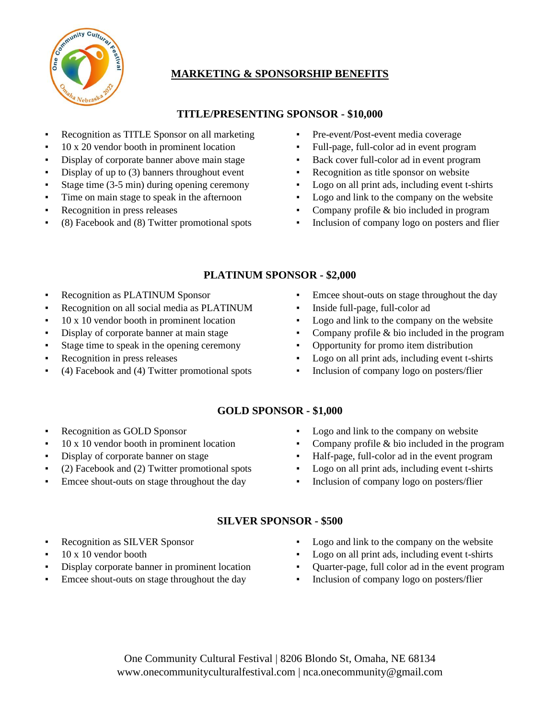

# **MARKETING & SPONSORSHIP BENEFITS**

### **TITLE/PRESENTING SPONSOR - \$10,000**

- Recognition as TITLE Sponsor on all marketing
- $10 \times 20$  vendor booth in prominent location
- **•** Display of corporate banner above main stage
- Display of up to  $(3)$  banners throughout event
- Stage time  $(3-5 \text{ min})$  during opening ceremony
- Time on main stage to speak in the afternoon
- Recognition in press releases
- $(8)$  Facebook and  $(8)$  Twitter promotional spots
- Pre-event/Post-event media coverage
- Full-page, full-color ad in event program
- Back cover full-color ad in event program
- Recognition as title sponsor on website
- Logo on all print ads, including event t-shirts
- Logo and link to the company on the website
- Company profile & bio included in program
- **•** Inclusion of company logo on posters and flier

## **PLATINUM SPONSOR - \$2,000**

- Recognition as PLATINUM Sponsor
- Recognition on all social media as PLATINUM
- $10 \times 10$  vendor booth in prominent location
- Display of corporate banner at main stage
- Stage time to speak in the opening ceremony
- Recognition in press releases
- $(4)$  Facebook and  $(4)$  Twitter promotional spots
- Emcee shout-outs on stage throughout the day
- Inside full-page, full-color ad
- Logo and link to the company on the website
- **•** Company profile  $\&$  bio included in the program
- Opportunity for promo item distribution
- Logo on all print ads, including event t-shirts
- **•** Inclusion of company logo on posters/flier

## **GOLD SPONSOR - \$1,000**

- Recognition as GOLD Sponsor
- $10 \times 10$  vendor booth in prominent location
- Display of corporate banner on stage
- $(2)$  Facebook and  $(2)$  Twitter promotional spots
- Emcee shout-outs on stage throughout the day
- Logo and link to the company on website
- Company profile  $& bio included in the program$
- Half-page, full-color ad in the event program
- Logo on all print ads, including event t-shirts
- **•** Inclusion of company logo on posters/flier

### **SILVER SPONSOR - \$500**

- Recognition as SILVER Sponsor
- $10 \times 10$  vendor booth
- Display corporate banner in prominent location
- Emcee shout-outs on stage throughout the day
- Logo and link to the company on the website
- Logo on all print ads, including event t-shirts
- Quarter-page, full color ad in the event program
- **•** Inclusion of company logo on posters/flier

One Community Cultural Festival | 8206 Blondo St, Omaha, NE 68134 www.onecommunityculturalfestival.com | nca.onecommunity@gmail.com